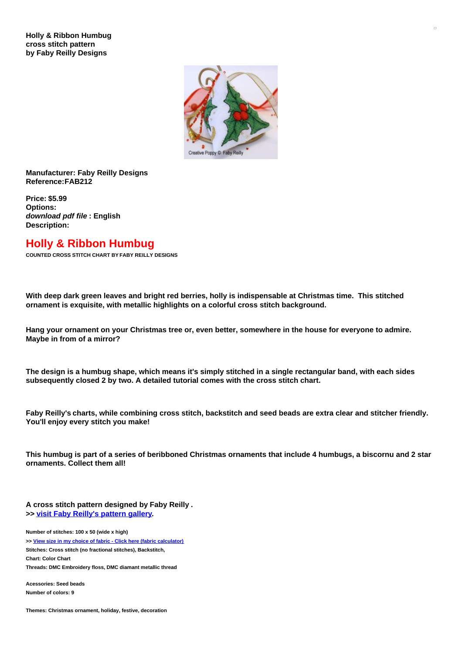

## **Manufacturer: Faby Reilly Designs Reference:FAB212**

**Price: \$5.99 Options:** *download pdf file* **: English Description:**

## **Holly & Ribbon Humbug**

**COUNTED CROSS STITCH CHART BY FABY REILLY DESIGNS**

With deep dark green leaves and bright red berries, holly is indispensable at Christmas time. This stitched **ornament is exquisite, with metallic highlights on a colorful cross stitch background.**

Hang your ornament on your Christmas tree or, even better, somewhere in the house for everyone to admire. **Maybe in from of a mirror?**

The design is a humbug shape, which means it's simply stitched in a single rectangular band, with each sides **subsequently closed 2 by two. A detailed tutorial comes with the cross stitch chart.**

Faby Reilly's charts, while combining cross stitch, backstitch and seed beads are extra clear and stitcher friendly. **You'll enjoy every stitch you make!**

This humbug is part of a series of beribboned Christmas ornaments that include 4 humbugs, a biscornu and 2 star **ornaments. Collect them all!**

**A cross stitch pattern designed by Faby Reilly . >> visit Faby [Reilly's](https://www.creativepoppypatterns.com/browse-designer-faby-reilly-designs-xsl-296_392.html) pattern gallery.**

**Number of stitches: 100 x 50 (wide x high) >> View size in my choice of fabric - Click here (fabric [calculator\)](https://www.creativepoppypatterns.com/calculette-de-toile.php?products_id=2663&w=100&h=50) Stitches: Cross stitch (no fractional stitches), Backstitch, Chart: Color Chart Threads: DMC Embroidery floss, DMC diamant metallic thread**

**Acessories: Seed beads Number of colors: 9**

**Themes: Christmas ornament, holiday, festive, decoration**